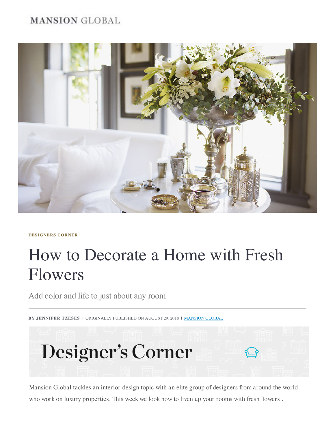# **MANSION GLOBAL**



**[DESIGNERS CORNER](https://www.mansionglobal.com/luxury-real-estate-news/subject/subject-designers-corner)**

# How to Decorate a Home with Fresh Flowers

Add color and life to just about any room

**BY JENNIFER TZESES** | ORIGINALLY PUBLISHED ON AUGUST 29, 2018 | MANSION GLOBAL



Mansion Global tackles an interior design topic with an elite group of designers from around the world who work on luxury properties. This week we look how to liven up your rooms with fresh flowers .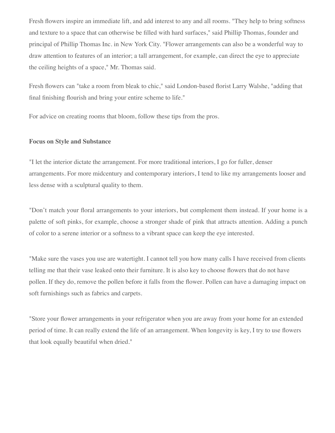Fresh flowers inspire an immediate lift, and add interest to any and all rooms. "They help to bring softness and texture to a space that can otherwise be filled with hard surfaces," said Phillip Thomas, founder and principal of Phillip Thomas Inc. in New York City. "Flower arrangements can also be a wonderful way to draw attention to features of an interior; a tall arrangement, for example, can direct the eye to appreciate the ceiling heights of a space," Mr. Thomas said.

Fresh flowers can "take a room from bleak to chic," said London-based florist Larry Walshe, "adding that final finishing flourish and bring your entire scheme to life."

For advice on creating rooms that bloom, follow these tips from the pros.

# **Focus on Style and Substance**

"I let the interior dictate the arrangement. For more traditional interiors, I go for fuller, denser arrangements. For more midcentury and contemporary interiors, I tend to like my arrangements looser and less dense with a sculptural quality to them.

"Don't match your floral arrangements to your interiors, but complement them instead. If your home is a palette of soft pinks, for example, choose a stronger shade of pink that attracts attention. Adding a punch of color to a serene interior or a softness to a vibrant space can keep the eye interested.

"Make sure the vases you use are watertight. I cannot tell you how many calls I have received from clients telling me that their vase leaked onto their furniture. It is also key to choose flowers that do not have pollen. If they do, remove the pollen before it falls from the flower. Pollen can have a damaging impact on soft furnishings such as fabrics and carpets.

"Store your flower arrangements in your refrigerator when you are away from your home for an extended period of time. It can really extend the life of an arrangement. When longevity is key, I try to use flowers that look equally beautiful when dried."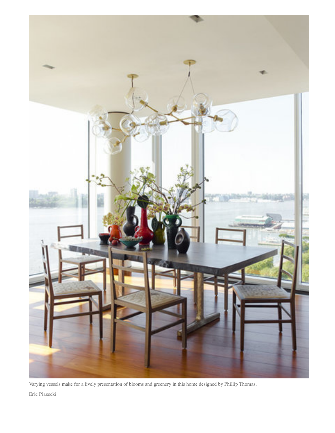

Varying vessels make for a lively presentation of blooms and greenery in this home designed by Phillip Thomas. Eric Piasecki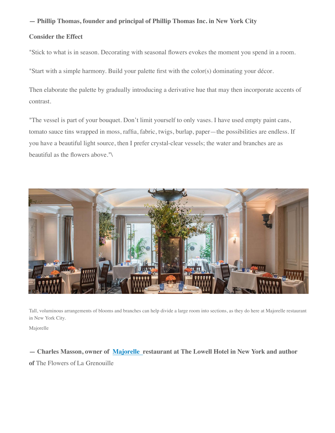**— Phillip Thomas, founder and principal of Phillip Thomas Inc. in New York City**

# **Consider the Effect**

"Stick to what is in season. Decorating with seasonal flowers evokes the moment you spend in a room.

"Start with a simple harmony. Build your palette first with the color(s) dominating your décor.

Then elaborate the palette by gradually introducing a derivative hue that may then incorporate accents of contrast.

"The vessel is part of your bouquet. Don't limit yourself to only vases. I have used empty paint cans, tomato sauce tins wrapped in moss, raffia, fabric, twigs, burlap, paper—the possibilities are endless. If you have a beautiful light source, then I prefer crystal-clear vessels; the water and branches are as beautiful as the flowers above."\



Tall, voluminous arrangements of blooms and branches can help divide a large room into sections, as they do here at Majorelle restaurant in New York City.

Majorelle

**— Charles Masson, owner of [Majorelle](https://www.lowellhotel.com/restaurants-and-bar/majorelle/57-1/?mod=article_inline)  restaurant at The Lowell Hotel in New York and author of** The Flowers of La Grenouille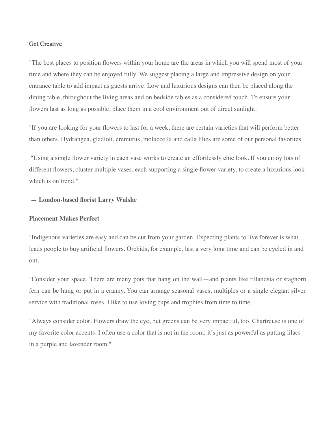## Get Creative

"The best places to position flowers within your home are the areas in which you will spend most of your time and where they can be enjoyed fully. We suggest placing a large and impressive design on your entrance table to add impact as guests arrive. Low and luxurious designs can then be placed along the dining table, throughout the living areas and on bedside tables as a considered touch. To ensure your flowers last as long as possible, place them in a cool environment out of direct sunlight.

"If you are looking for your flowers to last for a week, there are certain varieties that will perform better than others. Hydrangea, gladioli, eremurus, moluccella and calla lilies are some of our personal favorites.

"Using a single flower variety in each vase works to create an effortlessly chic look. If you enjoy lots of different flowers, cluster multiple vases, each supporting a single flower variety, to create a luxurious look which is on trend."

## **— London-based florist Larry Walshe**

#### **Placement Makes Perfect**

"Indigenous varieties are easy and can be cut from your garden. Expecting plants to live forever is what leads people to buy artificial flowers. Orchids, for example, last a very long time and can be cycled in and out.

"Consider your space. There are many pots that hang on the wall—and plants like tillandsia or staghorn fern can be hung or put in a cranny. You can arrange seasonal vases, multiples or a single elegant silver service with traditional roses. I like to use loving cups and trophies from time to time.

"Always consider color. Flowers draw the eye, but greens can be very impactful, too. Chartreuse is one of my favorite color accents. I often use a color that is not in the room; it's just as powerful as putting lilacs in a purple and lavender room."